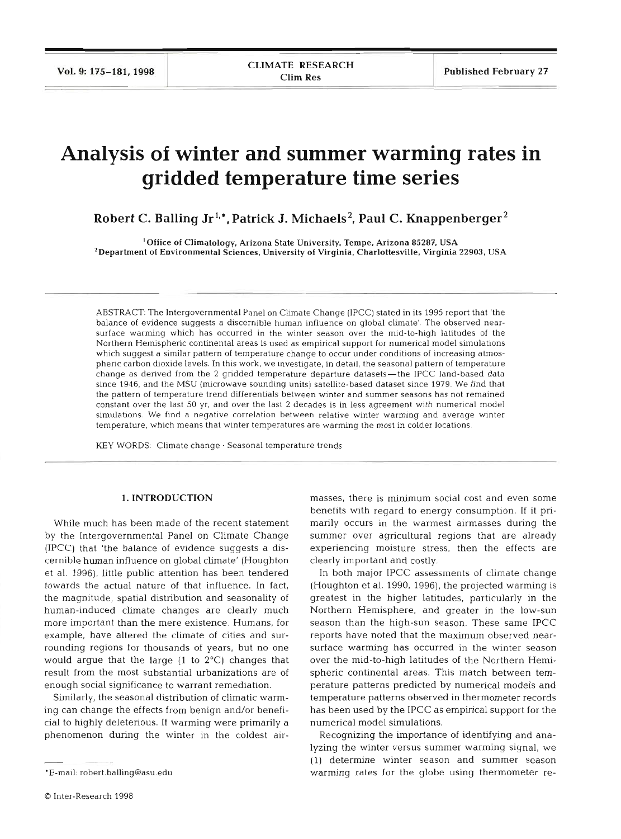# **Analysis of winter and summer warming rates in gridded temperature time series**

**Robert C. Balling Jr<sup>1,\*</sup>, Patrick J. Michaels<sup>2</sup>, Paul C. Knappenberger<sup>2</sup>** 

'Office of Climatology, Arizona State University, Ternpe, Arizona **85287.** USA 'Department of Environmental Sciences, University of Virginia, Charlottesville, Virginia **22903,** USA

ABSTRACT: The Intergovernmental Panel on Climate Change (IPCC) stated in its 1995 report that 'the balance of evidence suggests a discernible human influence on global climate'. The observed nearsurface warming which has occurred in the winter season over the mid-to-hlgh latitudes of the Northern Hemispheric continental areas is used as empirical support for numerical model simulations which suggest a similar pattern of temperature change to occur under conditions of increasing atmospheric carbon dioxide levels. In this work, we investigate, in detail, the seasonal pattern of temperature change as derived from the **2** gridded temperature departure datasets-the IPCC land-based data since 1946. and the MSU (microwave sounding units) satellite-based dataset since 1979. We find that the pattern of temperature trend differentials between winter and summer seasons has not remained constant over the last 50 yr, and over the last 2 decades is in less agreement with numerical model simulations. We find a negative correlation between relative winter warming and average winter temperature, which means that winter temperatures are warming the most in colder locations.

**KEY** WORDS: Climate change . Seasonal temperature trends

### 1. INTRODUCTION

While much has been made of the recent statement by the Intergovernmental Panel on Climate Change (IPCC) that 'the balance of evidence suggests a discernible human influence on global climate' (Houghton et al. 1996). little public attention has been tendered towards the actual nature of that influence. In fact, the magnitude, spatial distribution and seasonality of human-induced climate changes are clearly much more important than the mere existence. Humans, for example, have altered the climate of cities and surrounding regions for thousands of years, but no one would argue that the large  $(1$  to  $2^{\circ}C)$  changes that result from the most substantial urbanizations are of enough social significance to warrant remediation.

Similarly, the seasonal distribution of climatic warming can change the effects from benign and/or beneficial to highly deleterious. If warming were primarily a phenomenon during the winter in the coldest air-

0 Inter-Research 1998

masses, there is minimum social cost and even some benefits with regard to energy consumption. If it primarily occurs in the warmest airmasses during the summer over agricultural regions that are already experiencing moisture stress, then the effects are clearly important and costly.

In both major IPCC assessments of climate change (Houghton et al. 1990, 1996), the projected warming is greatest in the higher latitudes, particularly in the Northern Hemisphere, and greater in the low-sun season than the high-sun season. These same IPCC reports have noted that the maximum observed nearsurface warming has occurred in the winter season over the mid-to-high latitudes of the Northern Hemispheric continental areas. This match between temperature patterns predicted by numerical models and temperature patterns observed in thermometer records has been used by the IPCC as empirical support for the numerical model simulations.

Recognizing the importance of identifying and analyzing the winter versus summer warming signal, we (1) determine winter season and summer season warming rates for the globe using thermometer re-

<sup>&#</sup>x27;E-mall: robert.balling@asu.edu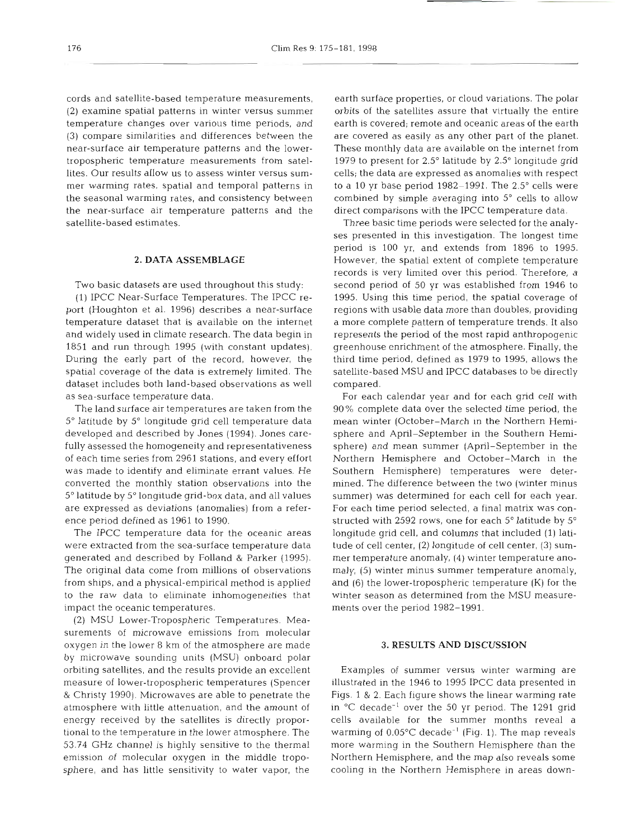cords and satellite-based temperature measurements, (2) examine spatial patterns in winter versus summer temperature changes over various time periods, and (3) compare similarities and differences between the near-surface air temperature patterns and the lowertropospheric temperature measurements from satellites. Our results allow us to assess winter versus summer warming rates, spatial and temporal patterns in the seasonal warming rates, and consistency between the near-surface air temperature patterns and the satellite-based estimates.

## **2. DATA ASSEMBLAGE**

Two basic datasets are used throughout this study:

(1) IPCC Near-Surface Temperatures. The IPCC report (Houghton et al. 1996) describes a near-surface temperature dataset that is available on the internet and widely used in climate research. The data begin in 1851 and run through 1995 (with constant updates). During the early part of the record, however, the spatial coverage of the data is extremely limited. The dataset includes both land-based observations as well as sea-surface temperature data.

The land surface air temperatures are taken from the 5" latitude by 5" longitude grid cell temperature data developed and described by Jones (1994). Jones carefully assessed the homogeneity and representativeness of each time series from 2961 stations, and every effort was made to identify and eliminate errant values. He converted the monthly station observations into the 5" latitude by 5" longitude grid-box data, and all values are expressed as deviations (anomalies) from a reference period defined as 1961 to 1990.

The IPCC temperature data for the oceanic areas were extracted from the sea-surface temperature data generated and described by Folland & Parker (1995). The original data come from millions of observations from ships, and a physical-empirical method is applied to the raw data to eliminate inhomogeneities that impact the oceanic temperatures.

(2) MSU Lower-Tropospheric Temperatures. Measurements of microwave emissions from molecular oxygen in the lower 8 km of the atmosphere are made by microwave sounding units (MSU) onboard polar orbiting satellites, and the results provide an excellent measure of lower-tropospheric temperatures (Spencer & Christy 1990). Microwaves are able to penetrate the atmosphere with little attenuation, and the amount of energy received by the satellites is directly proportional to the temperature in the lower atmosphere. The 53.74 GHz channel is highly sensitive to the thermal emission of molecular oxygen in the middle troposphere, and has little sensitivity to water vapor, the

earth surface properties, or cloud variations. The polar orbits of the satellites assure that virtually the entire earth is covered; remote and oceanic areas of the earth are covered as easily as any other part of the planet. These monthly data are available on the internet from 1979 to present for 2.5" latitude by 2.5" longitude grid cells; the data are expressed as anomalies with respect to a 10 yr base period  $1982-1991$ . The  $2.5^{\circ}$  cells were combined by simple averaging into  $5^\circ$  cells to allow direct comparisons with the IPCC temperature data.

Three basic time periods were selected for the analyses presented in this investigation. The longest time period is 100 yr, and extends from 1896 to 1995. However, the spatial extent of complete temperature records is very limited over this period. Therefore, a second period of 50 yr was established from 1946 to 1995. Using this time period, the spatial coverage of regions with usable data more than doubles, providing a more complete pattern of temperature trends. It also represents the period of the most rapid anthropogenic greenhouse enrichment of the atmosphere. Finally, the third time period, defined as 1979 to 1995, allows the satellite-based MSU and IPCC databases to be directly compared.

For each calendar year and for each grid cell with 90% complete data over the selected time period, the mean winter (October-March in the Northern Hemisphere and April-September in the Southern Hemisphere) and mean summer (April-September in the Northern Hemisphere and October-March in the Southern Hemisphere) temperatures were determined. The difference between the two (winter minus summer) was determined for each cell for each year. For each time period selected, a final matrix was constructed with 2592 rows, one for each  $5^{\circ}$  latitude by  $5^{\circ}$ longitude grid cell, and columns that included (1) latitude of cell center, (2) longitude of cell center, **(3)** summer temperature anomaly, (4) winter temperature anomaly, (5) winter minus summer temperature anomaly, and (6) the lower-tropospheric temperature (K) for the winter season as determined from the MSU measurements over the period 1982-1991.

### **3. RESULTS AND DISCUSSION**

Examples of summer versus winter warming are illustrated in the 1946 to 1995 IPCC data presented in Figs. 1 & 2. Each figure shows the linear warming rate in  $^{\circ}$ C decade<sup>-1</sup> over the 50 yr period. The 1291 grid cells available for the summer months reveal a warming of  $0.05^{\circ}$ C decade<sup>-1</sup> (Fig. 1). The map reveals more warming in the Southern Hemisphere than the Northern Hemisphere, and the map also reveals some cooling in the Northern Hemisphere in areas down-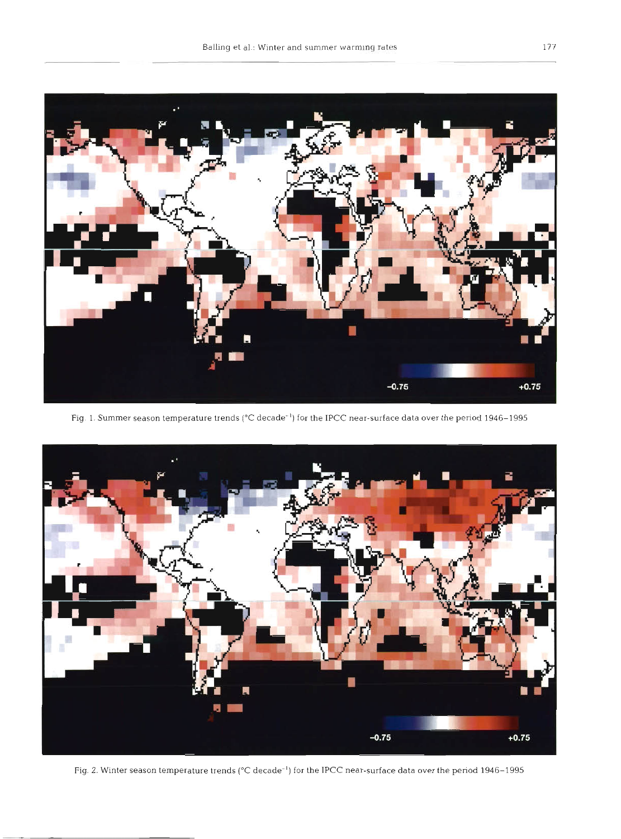

Fig. 1. Summer season temperature trends (°C decade<sup>-1</sup>) for the IPCC near-surface data over the period 1946–1995



Fig. 2. Winter season temperature trends (°C decade<sup>-1</sup>) for the IPCC near-surface data over the period 1946-1995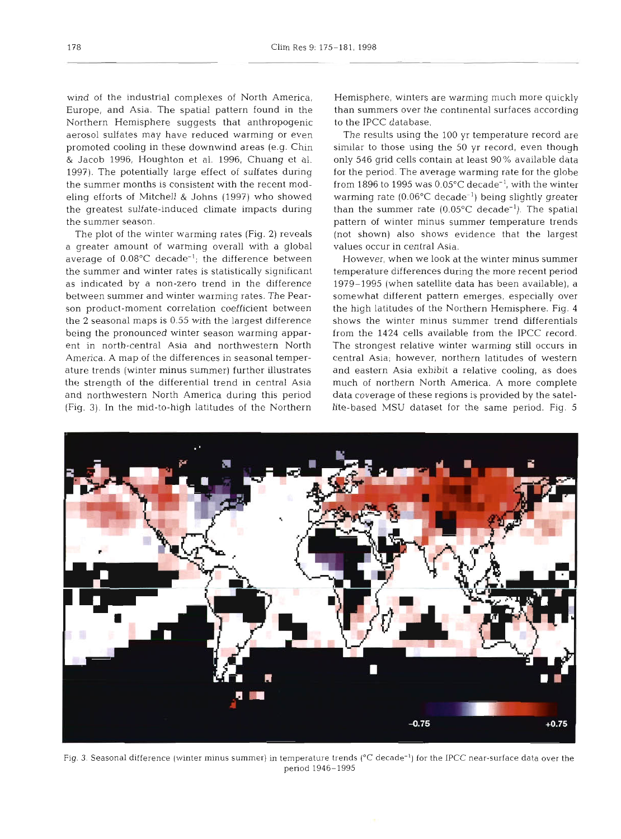wind of the industrial complexes of North America, Europe, and Asia. The spatial pattern found in the Northern Hemisphere suggests that anthropogenic to the aerosol sulfates may have reduced warming or even promoted cooling in these downwind areas (e.g. Chin & Jacob 1996, Houghton et al. 1996, Chuang et al. 1997). The potentially large effect of sulfates during the summer months is consistent with the recent modeling efforts of Mitchell & Johns (1997) who showed the greatest sulfate-induced climate impacts during the summer season.

> The plot of the winter warming rates (Fig. 2) reveals a greater amount of warming overall with a global average of  $0.08^{\circ}$ C decade<sup>-1</sup>; the difference between the summer and winter rates is statistically significant as indicated by a non-zero trend in the difference between summer and winter warming rates. The Pearson product-moment correlation coefficient between the 2 seasonal maps is 0.55 with the largest difference being the pronounced winter season warming apparent in north-central Asia and northwestern North America. A map of the differences in seasonal temperature trends (winter minus summer) further illustrates the strength of the differential trend in central Asia and northwestern North America during this penod (Fig. 3). In the mid-to-high latitudes of the Northern

Hemisphere, winters are warming much more quickly than summers over the continental surfaces according

The results using the 100 yr temperature record are similar to those using the 50 yr record, even though only 546 grid cells contain at least 90% available data for the period. The average warming rate for the globe from 1896 to 1995 was  $0.05^{\circ}$ C decade<sup>-1</sup>, with the winter warming rate  $(0.06^{\circ} \text{C} \text{ decade}^{-1})$  being slightly greater than the summer rate  $(0.05^{\circ}C \text{ decade}^{-1})$ . The spatial pattern of winter minus summer temperature trends (not shown) also shows evidence that the largest values occur in central Asia.

However, when we look at the winter minus summer temperature differences during the more recent period 1979-1995 (when satellite data has been available), a somewhat different pattern emerges, especially over the high latitudes of the Northern Hemisphere. Fig. 4 shows the winter minus summer trend differentials from the 1424 cells available from the IPCC record. The strongest relative winter warming still occurs in central Asia; however, northern latitudes of western and eastern Asia exhibit a relative cooling, as does much of northern North America. A more complete data coverage of these regions is provided by the satellite-based MSU dataset for the same period. Fig. 5



Fig. 3. Seasonal difference (winter minus summer) in temperature trends (°C decade<sup>-1</sup>) for the IPCC near-surface data over the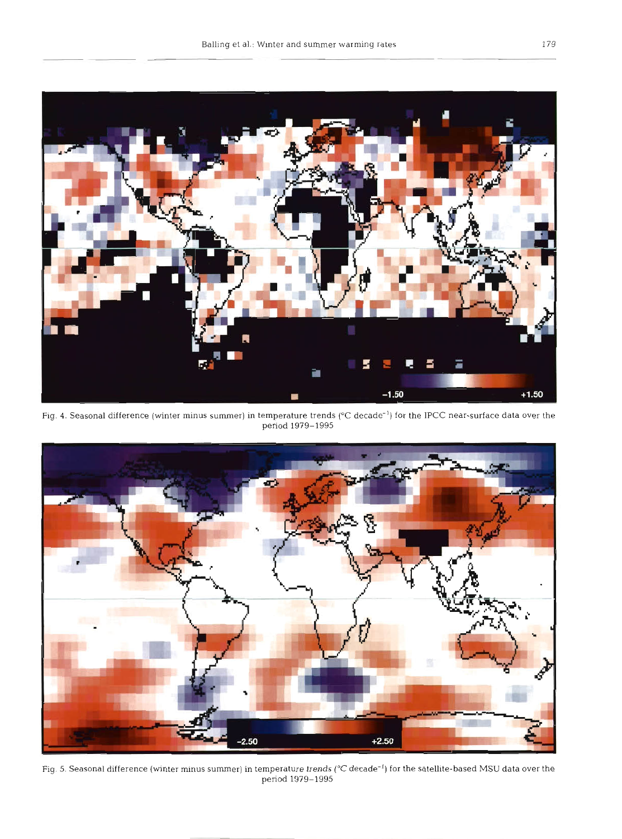

Fig. 4. Seasonal difference (winter minus summer) in temperature trends (°C decade<sup>-1</sup>) for the IPCC near-surface data over the period 1979-1995



Fig. 5. Seasonal difference (winter minus summer) in temperature trends (°C decade<sup>-1</sup>) for the satellite-based MSU data over the period 1979-1995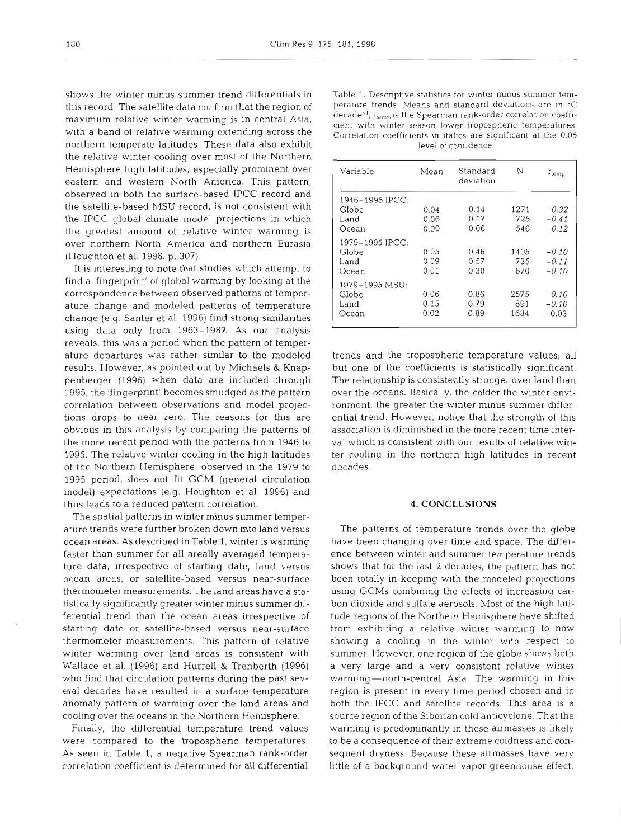shows the winter minus summer trend differentials in this record. The satellite data confirm that the region of maximum relative winter warming is in central Asia, with a band of relative warming extending across the northern temperate latitudes. These data also exhibit the relative winter cooling over most of the Northern Hemisphere high latitudes, especially prominent over eastern and western North America. This pattern, observed in both the surface-based IPCC record and the satellite-based MSU record, is not consistent with the IPCC global climate model projections in which the greatest amount of relative winter warming is over northern North America and northern Eurasia (Houghton et al. 1996, p. 307).

It is interesting to note that studies which attempt to find a 'fingerprint' of global warming by looking at the correspondence between observed patterns of temperature change and modeled patterns of temperature change (e.g. Santer et al. 1996) find strong similarities using data only from 1963-1987. As our analysis reveals, this was a period when the pattern of temperature departures was rather similar to the modeled results. However, as pointed out by Michaels & Knappenberger (1996) when data are included through 1995, the 'fingerprint' becomes smudged as the pattern correlation between observations and model projections drops to near zero. The reasons for this are obvious in this analysis by comparing the patterns of the more recent period with the patterns from 1946 to 1995. The relative winter cooling in the high latitudes of the Northern Hemisphere, observed in the 1979 to 1995 period, does not fit GCM (general circulation model) expectations (e.g. Houghton et al. 1996) and thus leads to a reduced pattern correlation.

The spatial patterns in winter minus summer temperature trends were further broken down into land versus ocean areas. As described in Table 1, winter is warming faster than summer for all areally averaged temperature data, irrespective of starting date, land versus ocean areas, or satellite-based versus near-surface thermometer measurements. The land areas have a statistically significantly greater winter minus summer differential trend than the ocean areas irrespective of starting date or satellite-based versus near-surface thermometer measurements. This pattern of relative winter warming over land areas is consistent with Wallace et al. (1996) and Hurrell & Trenberth (1996) who find that circulation patterns during the past several decades have resulted in a surface temperature anomaly pattern of warming over the land areas and cooling over the oceans in the Northern Hemisphere.

Finally, the differential temperature trend values were compared to the tropospheric temperatures. As seen in Table 1, a negative Spearman rank-order correlation coefficient is determined for all differential

Table 1. Descriptive statistics for winter minus summer temperature trends. Means and standard deviations are in "C decade<sup>-1</sup>;  $r_{\text{temp}}$  is the Spearman rank-order correlation coefficient with winter season lower tropospheric temperatures. Correlation coefficients in italics are significant at the 0.05 level of confidence

| Variable        | Mean | Standard<br>deviation | N    | $r_{temp}$ |
|-----------------|------|-----------------------|------|------------|
| 1946–1995 IPCC: |      |                       |      |            |
| Globe           | 0.04 | 0.14                  | 1271 | $-0.32$    |
| Land            | 0.06 | 0.17                  | 725  | $-0.41$    |
| Ocean           | 0.00 | 0.06                  | 546  | $-0.12$    |
| 1979-1995 IPCC: |      |                       |      |            |
| Globe           | 0.05 | 0.46                  | 1405 | $-0.10$    |
| Land            | 0.09 | 0.57                  | 735  | $-0.11$    |
| Ocean           | 0.01 | 0.30                  | 670  | $-0.10$    |
| 1979-1995 MSU:  |      |                       |      |            |
| Globe           | 0.06 | 0.86                  | 2575 | $-0.10$    |
| Land            | 0.15 | 0.79                  | 891  | $-0.10$    |
| Ocean           | 0.02 | 0.89                  | 1684 | $-0.03$    |
|                 |      |                       |      |            |

trends and the tropospheric temperature values; all but one of the coefficients is statistically significant. The relationship is consistently stronger over land than over the oceans. Basically, the colder the winter environment, the greater the winter minus summer differential trend. However, notice that the strength of this association is diminished in the more recent time interval which is consistent with our results of relative winter cooling in the northern high latitudes in recent decades.

#### **4. CONCLUSIONS**

The patterns of temperature trends over the globe have been changing over time and space. The difference between winter and summer temperature trends shows that for the last 2 decades, the pattern has not been totally in keeping with the modeled projections using GCMs combining the effects of increasing carbon dioxide and sulfate aerosols. Most of the high latitude regions of the Northern Hemisphere have shifted from exhibiting a relative winter warming to now showing a cooling in the winter with respect to summer. However, one region of the globe shows both a very large and a very consistent relative winter warming—north-central Asia. The warming in this region is present in every time period chosen and in both the IPCC and satellite records. This area is a source region of the Siberian cold anticyclone. That the warming is predominantly in these airmasses is likely to be a consequence of their extreme coldness and consequent dryness. Because these airmasses have very little of a background water vapor greenhouse effect,